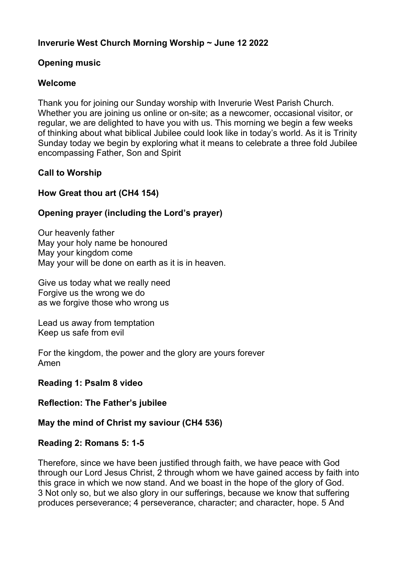## **Inverurie West Church Morning Worship ~ June 12 2022**

## **Opening music**

## **Welcome**

Thank you for joining our Sunday worship with Inverurie West Parish Church. Whether you are joining us online or on-site; as a newcomer, occasional visitor, or regular, we are delighted to have you with us. This morning we begin a few weeks of thinking about what biblical Jubilee could look like in today's world. As it is Trinity Sunday today we begin by exploring what it means to celebrate a three fold Jubilee encompassing Father, Son and Spirit

# **Call to Worship**

## **How Great thou art (CH4 154)**

# **Opening prayer (including the Lord's prayer)**

Our heavenly father May your holy name be honoured May your kingdom come May your will be done on earth as it is in heaven.

Give us today what we really need Forgive us the wrong we do as we forgive those who wrong us

Lead us away from temptation Keep us safe from evil

For the kingdom, the power and the glory are yours forever Amen

### **Reading 1: Psalm 8 video**

### **Reflection: The Father's jubilee**

### **May the mind of Christ my saviour (CH4 536)**

### **Reading 2: Romans 5: 1-5**

Therefore, since we have been justified through faith, we have peace with God through our Lord Jesus Christ, 2 through whom we have gained access by faith into this grace in which we now stand. And we boast in the hope of the glory of God. 3 Not only so, but we also glory in our sufferings, because we know that suffering produces perseverance; 4 perseverance, character; and character, hope. 5 And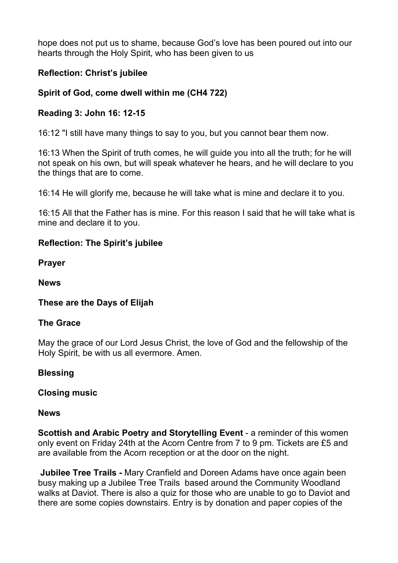hope does not put us to shame, because God's love has been poured out into our hearts through the Holy Spirit, who has been given to us

## **Reflection: Christ's jubilee**

## **Spirit of God, come dwell within me (CH4 722)**

## **Reading 3: John 16: 12-15**

16:12 "I still have many things to say to you, but you cannot bear them now.

16:13 When the Spirit of truth comes, he will guide you into all the truth; for he will not speak on his own, but will speak whatever he hears, and he will declare to you the things that are to come.

16:14 He will glorify me, because he will take what is mine and declare it to you.

16:15 All that the Father has is mine. For this reason I said that he will take what is mine and declare it to you.

## **Reflection: The Spirit's jubilee**

**Prayer**

**News**

### **These are the Days of Elijah**

### **The Grace**

May the grace of our Lord Jesus Christ, the love of God and the fellowship of the Holy Spirit, be with us all evermore. Amen.

### **Blessing**

### **Closing music**

#### **News**

**Scottish and Arabic Poetry and Storytelling Event** - a reminder of this women only event on Friday 24th at the Acorn Centre from 7 to 9 pm. Tickets are £5 and are available from the Acorn reception or at the door on the night.

**Jubilee Tree Trails -** Mary Cranfield and Doreen Adams have once again been busy making up a Jubilee Tree Trails based around the Community Woodland walks at Daviot. There is also a quiz for those who are unable to go to Daviot and there are some copies downstairs. Entry is by donation and paper copies of the